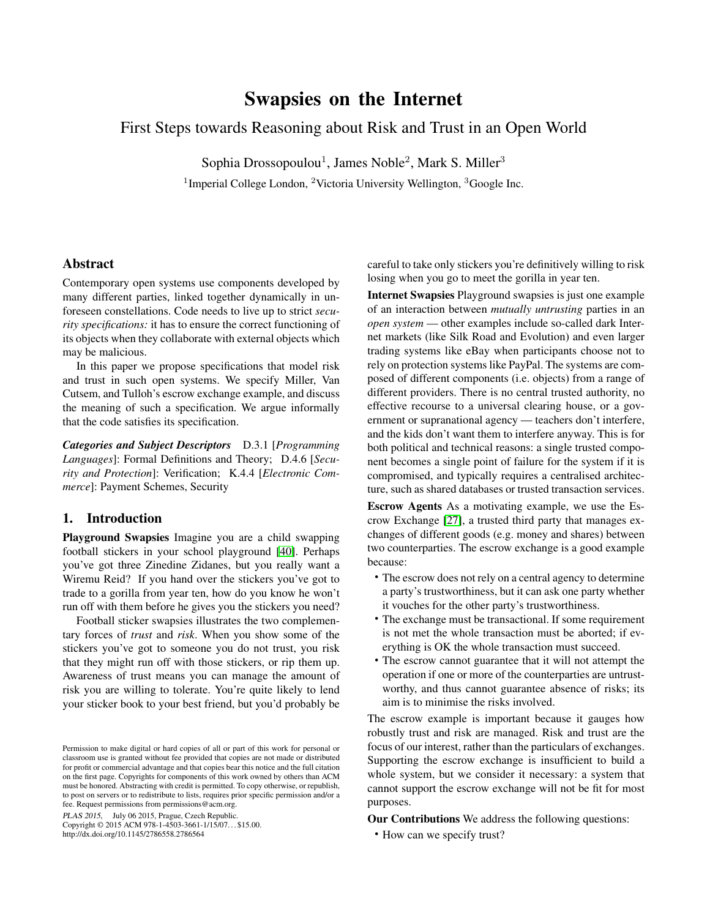# Swapsies on the Internet

First Steps towards Reasoning about Risk and Trust in an Open World

Sophia Drossopoulou<sup>1</sup>, James Noble<sup>2</sup>, Mark S. Miller<sup>3</sup>

<sup>1</sup> Imperial College London, <sup>2</sup> Victoria University Wellington, <sup>3</sup> Google Inc.

# Abstract

Contemporary open systems use components developed by many different parties, linked together dynamically in unforeseen constellations. Code needs to live up to strict *security specifications:* it has to ensure the correct functioning of its objects when they collaborate with external objects which may be malicious.

In this paper we propose specifications that model risk and trust in such open systems. We specify Miller, Van Cutsem, and Tulloh's escrow exchange example, and discuss the meaning of such a specification. We argue informally that the code satisfies its specification.

*Categories and Subject Descriptors* D.3.1 [*Programming Languages*]: Formal Definitions and Theory; D.4.6 [*Security and Protection*]: Verification; K.4.4 [*Electronic Commerce*]: Payment Schemes, Security

# 1. Introduction

Playground Swapsies Imagine you are a child swapping football stickers in your school playground [\[40\]](#page-13-0). Perhaps you've got three Zinedine Zidanes, but you really want a Wiremu Reid? If you hand over the stickers you've got to trade to a gorilla from year ten, how do you know he won't run off with them before he gives you the stickers you need?

Football sticker swapsies illustrates the two complementary forces of *trust* and *risk*. When you show some of the stickers you've got to someone you do not trust, you risk that they might run off with those stickers, or rip them up. Awareness of trust means you can manage the amount of risk you are willing to tolerate. You're quite likely to lend your sticker book to your best friend, but you'd probably be

PLAS 2015, July 06 2015, Prague, Czech Republic.

Copyright © 2015 ACM 978-1-4503-3661-1/15/07. . . \$15.00. http://dx.doi.org/10.1145/2786558.2786564

careful to take only stickers you're definitively willing to risk losing when you go to meet the gorilla in year ten.

Internet Swapsies Playground swapsies is just one example of an interaction between *mutually untrusting* parties in an *open system* — other examples include so-called dark Internet markets (like Silk Road and Evolution) and even larger trading systems like eBay when participants choose not to rely on protection systems like PayPal. The systems are composed of different components (i.e. objects) from a range of different providers. There is no central trusted authority, no effective recourse to a universal clearing house, or a government or supranational agency — teachers don't interfere, and the kids don't want them to interfere anyway. This is for both political and technical reasons: a single trusted component becomes a single point of failure for the system if it is compromised, and typically requires a centralised architecture, such as shared databases or trusted transaction services.

Escrow Agents As a motivating example, we use the Escrow Exchange [\[27\]](#page-13-1), a trusted third party that manages exchanges of different goods (e.g. money and shares) between two counterparties. The escrow exchange is a good example because:

- The escrow does not rely on a central agency to determine a party's trustworthiness, but it can ask one party whether it vouches for the other party's trustworthiness.
- The exchange must be transactional. If some requirement is not met the whole transaction must be aborted; if everything is OK the whole transaction must succeed.
- The escrow cannot guarantee that it will not attempt the operation if one or more of the counterparties are untrustworthy, and thus cannot guarantee absence of risks; its aim is to minimise the risks involved.

The escrow example is important because it gauges how robustly trust and risk are managed. Risk and trust are the focus of our interest, rather than the particulars of exchanges. Supporting the escrow exchange is insufficient to build a whole system, but we consider it necessary: a system that cannot support the escrow exchange will not be fit for most purposes.

Our Contributions We address the following questions:

• How can we specify trust?

Permission to make digital or hard copies of all or part of this work for personal or classroom use is granted without fee provided that copies are not made or distributed for profit or commercial advantage and that copies bear this notice and the full citation on the first page. Copyrights for components of this work owned by others than ACM must be honored. Abstracting with credit is permitted. To copy otherwise, or republish, to post on servers or to redistribute to lists, requires prior specific permission and/or a fee. Request permissions from permissions@acm.org.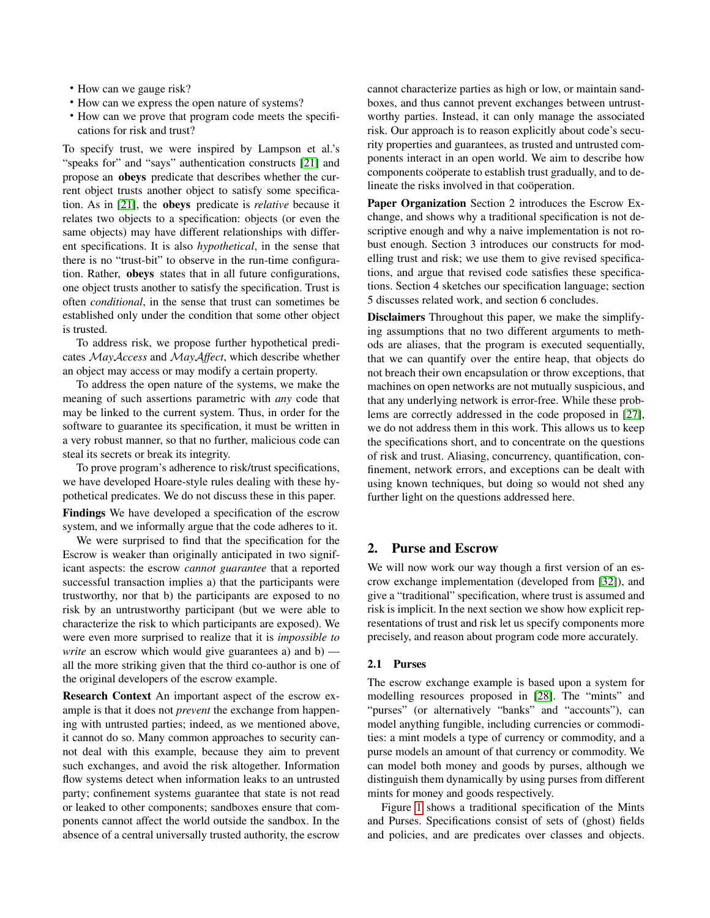- How can we gauge risk?
- How can we express the open nature of systems?
- How can we prove that program code meets the specifications for risk and trust?

To specify trust, we were inspired by Lampson et al.'s "speaks for" and "says" authentication constructs [\[21\]](#page-13-2) and propose an obeys predicate that describes whether the current object trusts another object to satisfy some specification. As in [\[21\]](#page-13-2), the obeys predicate is *relative* because it relates two objects to a specification: objects (or even the same objects) may have different relationships with different specifications. It is also *hypothetical*, in the sense that there is no "trust-bit" to observe in the run-time configuration. Rather, obeys states that in all future configurations, one object trusts another to satisfy the specification. Trust is often *conditional*, in the sense that trust can sometimes be established only under the condition that some other object is trusted.

To address risk, we propose further hypothetical predicates M*ay*A*ccess* and M*ay*A*ffect*, which describe whether an object may access or may modify a certain property.

To address the open nature of the systems, we make the meaning of such assertions parametric with *any* code that may be linked to the current system. Thus, in order for the software to guarantee its specification, it must be written in a very robust manner, so that no further, malicious code can steal its secrets or break its integrity.

To prove program's adherence to risk/trust specifications, we have developed Hoare-style rules dealing with these hypothetical predicates. We do not discuss these in this paper.

Findings We have developed a specification of the escrow system, and we informally argue that the code adheres to it.

We were surprised to find that the specification for the Escrow is weaker than originally anticipated in two significant aspects: the escrow *cannot guarantee* that a reported successful transaction implies a) that the participants were trustworthy, nor that b) the participants are exposed to no risk by an untrustworthy participant (but we were able to characterize the risk to which participants are exposed). We were even more surprised to realize that it is *impossible to write* an escrow which would give guarantees a) and b) all the more striking given that the third co-author is one of the original developers of the escrow example.

Research Context An important aspect of the escrow example is that it does not *prevent* the exchange from happening with untrusted parties; indeed, as we mentioned above, it cannot do so. Many common approaches to security cannot deal with this example, because they aim to prevent such exchanges, and avoid the risk altogether. Information flow systems detect when information leaks to an untrusted party; confinement systems guarantee that state is not read or leaked to other components; sandboxes ensure that components cannot affect the world outside the sandbox. In the absence of a central universally trusted authority, the escrow

cannot characterize parties as high or low, or maintain sandboxes, and thus cannot prevent exchanges between untrustworthy parties. Instead, it can only manage the associated risk. Our approach is to reason explicitly about code's security properties and guarantees, as trusted and untrusted components interact in an open world. We aim to describe how components coöperate to establish trust gradually, and to delineate the risks involved in that coöperation.

Paper Organization Section 2 introduces the Escrow Exchange, and shows why a traditional specification is not descriptive enough and why a naive implementation is not robust enough. Section 3 introduces our constructs for modelling trust and risk; we use them to give revised specifications, and argue that revised code satisfies these specifications. Section 4 sketches our specification language; section 5 discusses related work, and section 6 concludes.

Disclaimers Throughout this paper, we make the simplifying assumptions that no two different arguments to methods are aliases, that the program is executed sequentially, that we can quantify over the entire heap, that objects do not breach their own encapsulation or throw exceptions, that machines on open networks are not mutually suspicious, and that any underlying network is error-free. While these problems are correctly addressed in the code proposed in [\[27\]](#page-13-1), we do not address them in this work. This allows us to keep the specifications short, and to concentrate on the questions of risk and trust. Aliasing, concurrency, quantification, confinement, network errors, and exceptions can be dealt with using known techniques, but doing so would not shed any further light on the questions addressed here.

# 2. Purse and Escrow

We will now work our way though a first version of an escrow exchange implementation (developed from [\[32\]](#page-13-3)), and give a "traditional" specification, where trust is assumed and risk is implicit. In the next section we show how explicit representations of trust and risk let us specify components more precisely, and reason about program code more accurately.

# 2.1 Purses

The escrow exchange example is based upon a system for modelling resources proposed in [\[28\]](#page-13-4). The "mints" and "purses" (or alternatively "banks" and "accounts"), can model anything fungible, including currencies or commodities: a mint models a type of currency or commodity, and a purse models an amount of that currency or commodity. We can model both money and goods by purses, although we distinguish them dynamically by using purses from different mints for money and goods respectively.

Figure [1](#page-2-0) shows a traditional specification of the Mints and Purses. Specifications consist of sets of (ghost) fields and policies, and are predicates over classes and objects.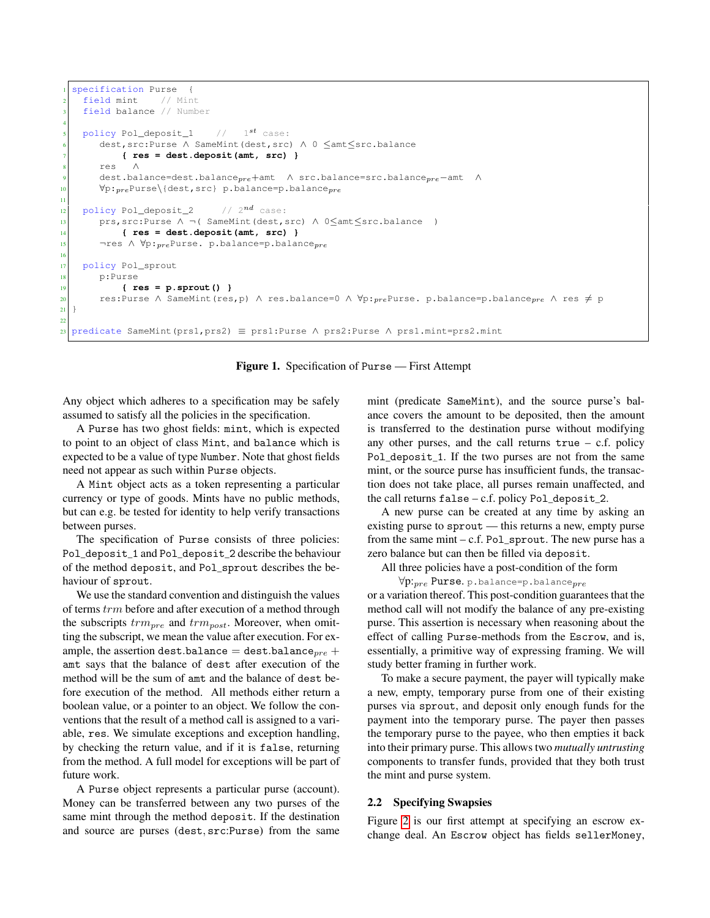```
specification Purse {
      field mint // Mint
3 field balance // Number
4
s policy Pol_deposit_1
                                        \frac{1}{s} case:
          6 dest,src:Purse ∧ SameMint(dest,src) ∧ 0 ≤amt≤src.balance
7 { res = dest.deposit(amt, src) }
8 res ∧
          9 dest.balance=dest.balancepre+amt ∧ src.balance=src.balancepre−amt ∧
|10| \forall p:_{pre}Purse\{dest, src\} p.balance=p.balance<sub>pre</sub>
11
12 policy Pol_deposit_2
                                        1/2^{nd} case:
13 prs,src:Purse ∧ ¬( SameMint(dest,src) ∧ 0≤amt≤src.balance )
14 { res = dest.deposit(amt, src) }
15 \blacksquare \blacksquare \blacksquare \blacksquare \blacksquare \blacksquare \blacksquare \blacksquare \blacksquare \blacksquare \blacksquare \blacksquare \blacksquare \blacksquare \blacksquare \blacksquare \blacksquare \blacksquare \blacksquare \blacksquare \blacksquare \blacksquare \blacksquare \blacksquare \blacksquare \blacksquare \blacksquare \blacksquare \blacksquare \blacksquare \blacksquare 
16
17 policy Pol_sprout
18 p:Purse
19 { res = p.sprout() }
20 res:Purse ∧ SameMint(res,p) ∧ res.balance=0 ∧ \forall p:_{pre}Purse. p.balance=p.balance<sub>pre</sub> ∧ res ≠ p
21}
22
23 predicate SameMint(prs1,prs2) ≡ prs1:Purse ∧ prs2:Purse ∧ prs1.mint=prs2.mint
```
<span id="page-2-0"></span>Figure 1. Specification of Purse — First Attempt

Any object which adheres to a specification may be safely assumed to satisfy all the policies in the specification.

A Purse has two ghost fields: mint, which is expected to point to an object of class Mint, and balance which is expected to be a value of type Number. Note that ghost fields need not appear as such within Purse objects.

A Mint object acts as a token representing a particular currency or type of goods. Mints have no public methods, but can e.g. be tested for identity to help verify transactions between purses.

The specification of Purse consists of three policies: Pol\_deposit\_1 and Pol\_deposit\_2 describe the behaviour of the method deposit, and Pol\_sprout describes the behaviour of sprout.

We use the standard convention and distinguish the values of terms trm before and after execution of a method through the subscripts  $trm_{pre}$  and  $trm_{post}$ . Moreover, when omitting the subscript, we mean the value after execution. For example, the assertion dest.balance = dest.balance $_{pre}$  + amt says that the balance of dest after execution of the method will be the sum of amt and the balance of dest before execution of the method. All methods either return a boolean value, or a pointer to an object. We follow the conventions that the result of a method call is assigned to a variable, res. We simulate exceptions and exception handling, by checking the return value, and if it is false, returning from the method. A full model for exceptions will be part of future work.

A Purse object represents a particular purse (account). Money can be transferred between any two purses of the same mint through the method deposit. If the destination and source are purses (dest, src:Purse) from the same mint (predicate SameMint), and the source purse's balance covers the amount to be deposited, then the amount is transferred to the destination purse without modifying any other purses, and the call returns  $true - c.f.$  policy Pol\_deposit\_1. If the two purses are not from the same mint, or the source purse has insufficient funds, the transaction does not take place, all purses remain unaffected, and the call returns false – c.f. policy Pol\_deposit\_2.

A new purse can be created at any time by asking an existing purse to sprout — this returns a new, empty purse from the same mint  $-c.f.$  Pol\_sprout. The new purse has a zero balance but can then be filled via deposit.

All three policies have a post-condition of the form

 $\forall$ p: $_{pre}$  <code>Purse</code>. p.balance=p.balance $_{pre}$ 

or a variation thereof. This post-condition guarantees that the method call will not modify the balance of any pre-existing purse. This assertion is necessary when reasoning about the effect of calling Purse-methods from the Escrow, and is, essentially, a primitive way of expressing framing. We will study better framing in further work.

To make a secure payment, the payer will typically make a new, empty, temporary purse from one of their existing purses via sprout, and deposit only enough funds for the payment into the temporary purse. The payer then passes the temporary purse to the payee, who then empties it back into their primary purse. This allows two *mutually untrusting* components to transfer funds, provided that they both trust the mint and purse system.

### 2.2 Specifying Swapsies

Figure [2](#page-3-0) is our first attempt at specifying an escrow exchange deal. An Escrow object has fields sellerMoney,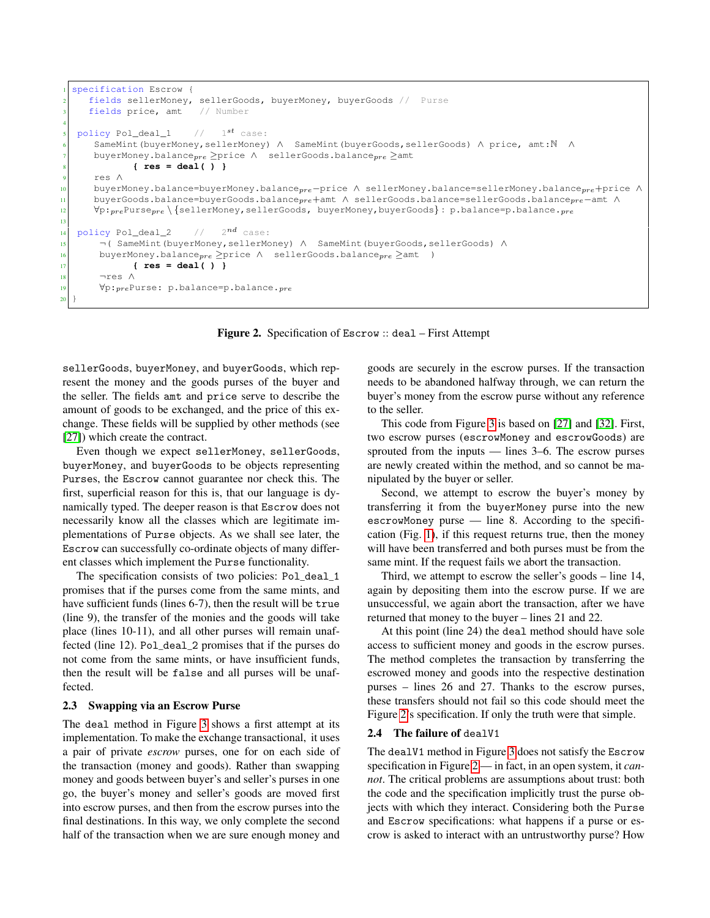```
specification Escrow {
     fields sellerMoney, sellerGoods, buyerMoney, buyerGoods // Purse
3 fields price, amt // Number
4
   policy Pol_deal_1
                      \frac{1}{s} case:
      6 SameMint(buyerMoney,sellerMoney) ∧ SameMint(buyerGoods,sellerGoods) ∧ price, amt:N ∧
7 buyerMoney.balancepre ≥price ∧ sellerGoods.balancepre ≥amt
|8| { res = deal( ) }
      9 res ∧
10 buyerMoney.balance=buyerMoney.balancepre−price ∧ sellerMoney.balance=sellerMoney.balancepre+price ∧
11 buyerGoods.balance=buyerGoods.balancepre+amt ∧ sellerGoods.balance=sellerGoods.balancepre−amt ∧
12 \forall p:_{pre}Purse<sub>pre</sub> \{sellerMoney,sellerGoods, buyerMoney,buyerGoods}: p.balance=p.balance.pre
13
14 policy Pol_deal_2
                        \frac{1}{2} case:
15 ¬( SameMint(buyerMoney,sellerMoney) ∧ SameMint(buyerGoods,sellerGoods) ∧
16 buyerMoney.balancepre ≥price ∧ sellerGoods.balancepre ≥amt )
17 { res = deal( ) }
18 ¬res ∧
|\psi| \forall p:_{pre}Purse: p.balance=p.balance._{pre}\overline{20}
```
<span id="page-3-0"></span>Figure 2. Specification of Escrow :: deal – First Attempt

sellerGoods, buyerMoney, and buyerGoods, which represent the money and the goods purses of the buyer and the seller. The fields amt and price serve to describe the amount of goods to be exchanged, and the price of this exchange. These fields will be supplied by other methods (see [\[27\]](#page-13-1)) which create the contract.

Even though we expect sellerMoney, sellerGoods, buyerMoney, and buyerGoods to be objects representing Purses, the Escrow cannot guarantee nor check this. The first, superficial reason for this is, that our language is dynamically typed. The deeper reason is that Escrow does not necessarily know all the classes which are legitimate implementations of Purse objects. As we shall see later, the Escrow can successfully co-ordinate objects of many different classes which implement the Purse functionality.

The specification consists of two policies: Pol\_deal\_1 promises that if the purses come from the same mints, and have sufficient funds (lines 6-7), then the result will be true (line 9), the transfer of the monies and the goods will take place (lines 10-11), and all other purses will remain unaffected (line 12). Pol\_deal\_2 promises that if the purses do not come from the same mints, or have insufficient funds, then the result will be false and all purses will be unaffected.

#### 2.3 Swapping via an Escrow Purse

The deal method in Figure [3](#page-4-0) shows a first attempt at its implementation. To make the exchange transactional, it uses a pair of private *escrow* purses, one for on each side of the transaction (money and goods). Rather than swapping money and goods between buyer's and seller's purses in one go, the buyer's money and seller's goods are moved first into escrow purses, and then from the escrow purses into the final destinations. In this way, we only complete the second half of the transaction when we are sure enough money and goods are securely in the escrow purses. If the transaction needs to be abandoned halfway through, we can return the buyer's money from the escrow purse without any reference to the seller.

This code from Figure [3](#page-4-0) is based on [\[27\]](#page-13-1) and [\[32\]](#page-13-3). First, two escrow purses (escrowMoney and escrowGoods) are sprouted from the inputs — lines 3–6. The escrow purses are newly created within the method, and so cannot be manipulated by the buyer or seller.

Second, we attempt to escrow the buyer's money by transferring it from the buyerMoney purse into the new escrowMoney purse — line 8. According to the specification (Fig. [1\)](#page-2-0), if this request returns true, then the money will have been transferred and both purses must be from the same mint. If the request fails we abort the transaction.

Third, we attempt to escrow the seller's goods – line 14, again by depositing them into the escrow purse. If we are unsuccessful, we again abort the transaction, after we have returned that money to the buyer – lines 21 and 22.

At this point (line 24) the deal method should have sole access to sufficient money and goods in the escrow purses. The method completes the transaction by transferring the escrowed money and goods into the respective destination purses – lines 26 and 27. Thanks to the escrow purses, these transfers should not fail so this code should meet the Figure [2'](#page-3-0)s specification. If only the truth were that simple.

# 2.4 The failure of dealV1

The dealV1 method in Figure [3](#page-4-0) does not satisfy the Escrow specification in Figure [2](#page-3-0) — in fact, in an open system, it *cannot*. The critical problems are assumptions about trust: both the code and the specification implicitly trust the purse objects with which they interact. Considering both the Purse and Escrow specifications: what happens if a purse or escrow is asked to interact with an untrustworthy purse? How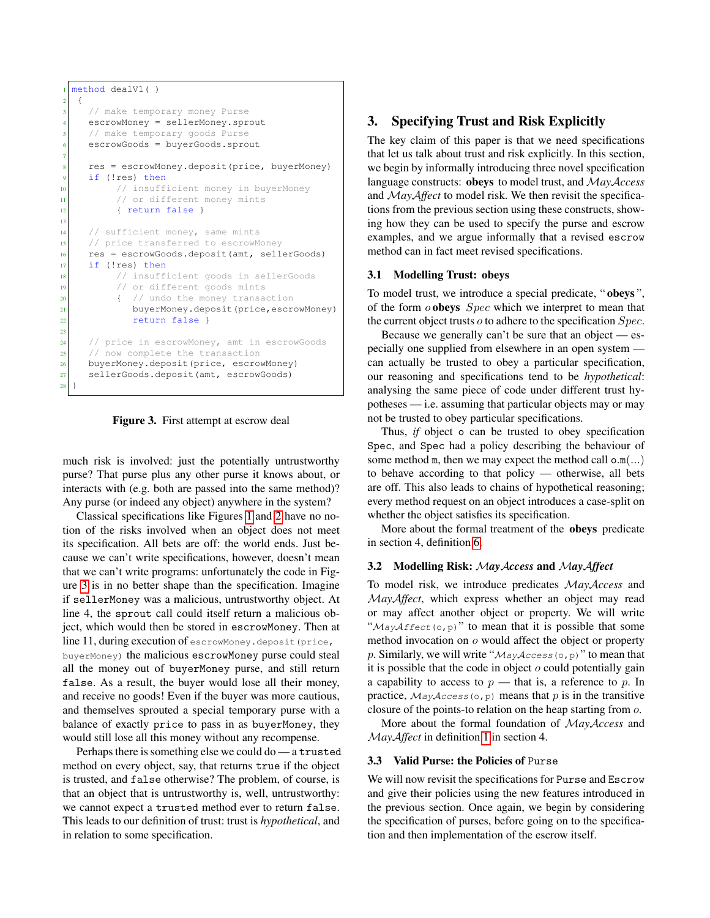```
method dealV1()
\overline{2}3 // make temporary money Purse
4 escrowMoney = sellerMoney.sprout
5 // make temporary goods Purse
     escrowGoods = buyerGoods.sprout
7
|8| res = escrowMoney.deposit(price, buyerMoney)
9 if (!res) then
10 // insufficient money in buyerMoney
11 // or different money mints
12 { return false }
13
14 // sufficient money, same mints
15 // price transferred to escrowMoney
\begin{bmatrix} 16 \\ 16 \end{bmatrix} res = escrowGoods.deposit(amt, sellerGoods)
17 if (!res) then
18 // insufficient goods in sellerGoods
19 // or different goods mints
20 \left\{\frac{7}{100}\right\} \left\{\frac{20}{100}\right\}21 buyerMoney.deposit(price,escrowMoney)
22 return false }
23
24 // price in escrowMoney, amt in escrowGoods
25 // now complete the transaction
26 buyerMoney.deposit(price, escrowMoney)
27 sellerGoods.deposit(amt, escrowGoods)
28 }
```
<span id="page-4-0"></span>Figure 3. First attempt at escrow deal

much risk is involved: just the potentially untrustworthy purse? That purse plus any other purse it knows about, or interacts with (e.g. both are passed into the same method)? Any purse (or indeed any object) anywhere in the system?

Classical specifications like Figures [1](#page-2-0) and [2](#page-3-0) have no notion of the risks involved when an object does not meet its specification. All bets are off: the world ends. Just because we can't write specifications, however, doesn't mean that we can't write programs: unfortunately the code in Figure [3](#page-4-0) is in no better shape than the specification. Imagine if sellerMoney was a malicious, untrustworthy object. At line 4, the sprout call could itself return a malicious object, which would then be stored in escrowMoney. Then at line 11, during execution of escrowMoney.deposit(price, buyerMoney) the malicious escrowMoney purse could steal all the money out of buyerMoney purse, and still return false. As a result, the buyer would lose all their money, and receive no goods! Even if the buyer was more cautious, and themselves sprouted a special temporary purse with a balance of exactly price to pass in as buyerMoney, they would still lose all this money without any recompense.

Perhaps there is something else we could do — a trusted method on every object, say, that returns true if the object is trusted, and false otherwise? The problem, of course, is that an object that is untrustworthy is, well, untrustworthy: we cannot expect a trusted method ever to return false. This leads to our definition of trust: trust is *hypothetical*, and in relation to some specification.

# 3. Specifying Trust and Risk Explicitly

The key claim of this paper is that we need specifications that let us talk about trust and risk explicitly. In this section, we begin by informally introducing three novel specification language constructs: obeys to model trust, and M*ay*A*ccess* and M*ay*A*ffect* to model risk. We then revisit the specifications from the previous section using these constructs, showing how they can be used to specify the purse and escrow examples, and we argue informally that a revised escrow method can in fact meet revised specifications.

# 3.1 Modelling Trust: obeys

To model trust, we introduce a special predicate, " obeys ", of the form o obeys Spec which we interpret to mean that the current object trusts  $\sigma$  to adhere to the specification  $Spec$ .

Because we generally can't be sure that an object  $-$  especially one supplied from elsewhere in an open system can actually be trusted to obey a particular specification, our reasoning and specifications tend to be *hypothetical*: analysing the same piece of code under different trust hypotheses — i.e. assuming that particular objects may or may not be trusted to obey particular specifications.

Thus, *if* object o can be trusted to obey specification Spec, and Spec had a policy describing the behaviour of some method m, then we may expect the method call o.m(...) to behave according to that policy — otherwise, all bets are off. This also leads to chains of hypothetical reasoning; every method request on an object introduces a case-split on whether the object satisfies its specification.

More about the formal treatment of the obeys predicate in section 4, definition [6.](#page-11-0)

# 3.2 Modelling Risk: M*ay*A*ccess* and M*ay*A*ffect*

To model risk, we introduce predicates M*ay*A*ccess* and M*ay*A*ffect*, which express whether an object may read or may affect another object or property. We will write " $\mathcal{M}_{\text{d}y\text{d}f\text{fect}}(q, p)$ " to mean that it is possible that some method invocation on o would affect the object or property p. Similarly, we will write " $\mathcal{M}$ <sub>ay</sub> $\mathcal{A}$ *ccess*( $\circ$ ,  $p$ )" to mean that it is possible that the code in object  $o$  could potentially gain a capability to access to  $p$  — that is, a reference to  $p$ . In practice,  $MayAccess(o,p)$  means that p is in the transitive closure of the points-to relation on the heap starting from o.

More about the formal foundation of M*ay*A*ccess* and M*ay*A*ffect* in definition [1](#page-10-0) in section 4.

#### 3.3 Valid Purse: the Policies of Purse

We will now revisit the specifications for Purse and Escrow and give their policies using the new features introduced in the previous section. Once again, we begin by considering the specification of purses, before going on to the specification and then implementation of the escrow itself.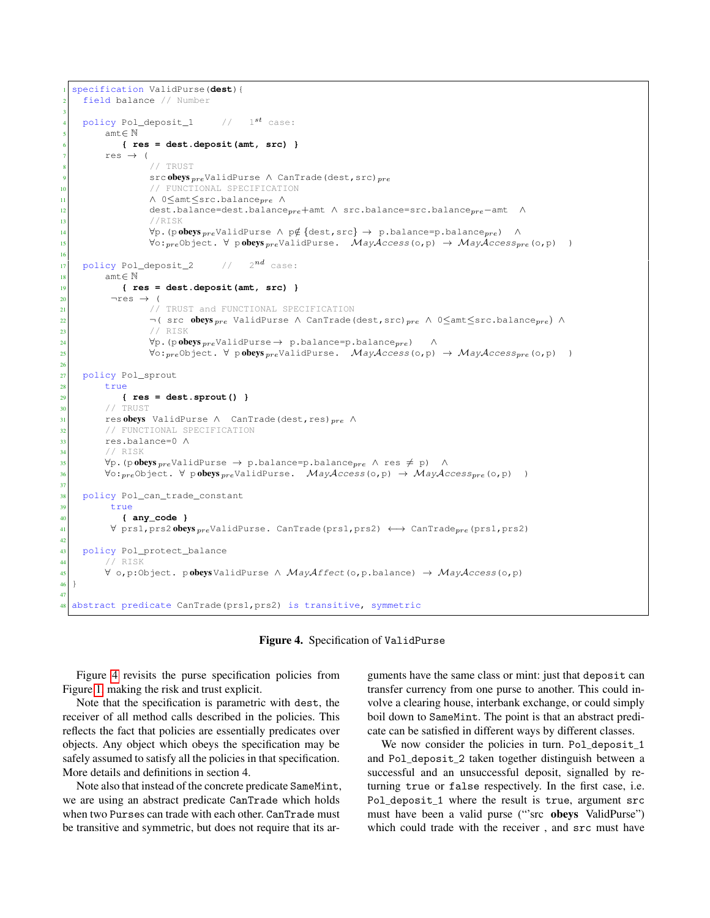```
1 specification ValidPurse(dest){
    field balance // Number
3
4 policy Pol_deposit_1
                              \frac{1}{s} case:
5 amt∈ N
           6 { res = dest.deposit(amt, src) }
r = r + 1 res \rightarrow (
8 // TRUST
                 src obeys _{pre}ValidPurse \wedge CanTrade(dest, src) _{pre}10 // FUNCTIONAL SPECIFICATION
11 ∧ 0≤amt≤src.balancepre ∧
12 dest.balance=dest.balancepre+amt ∧ src.balance=src.balancepre−amt ∧
13 //RTSK
14 \forall p. (p \text{ obeys } preValidPurse \land p\notin {dest, src} \rightarrow p.balance=p.balance<sub>pre</sub>) \land15 \forall o:preObject. \forall pobeys preValidPurse. MayAccess(o,p) \rightarrow MayAccess<sub>pre</sub>(o,p)
16
17 policy Pol_deposit_2
                             \frac{1}{2} case:
18 amt∈ N
19 { res = dest.deposit(amt, src) }
\frac{20}{20} \rightarrow (
21 // TRUST and FUNCTIONAL SPECIFICATION
22 → ( src obeys <sub>pre</sub> ValidPurse ∧ CanTrade(dest, src)<sub>pre</sub> ∧ 0≤amt≤src.balance<sub>pre</sub>) ∧
23 // RISK
24 ∀p.(p obeys preValidPurse → p.balance=p.balancepre) ∧
25 \forallo:_{pre}Object. \forall pobeys _{pre}ValidPurse. MayAccess(o,p) \rightarrow MayAccess<sub>pre</sub>(o,p)
26
27 policy Pol_sprout
28 true
29 { res = dest.sprout() }
30 // TRUST
31 res obeys ValidPurse \wedge CanTrade(dest,res)<sub>pre</sub> \wedge32 // FUNCTIONAL SPECIFICATION
33 res.balance=0 ∧
34 // RISK
35 \forall p. (p \text{ obeys}_{pre}ValidPurse \rightarrow p.balance=p.balance<sub>pre</sub> \land res \neq p) \land\gamma_{36} \forallo:_{pre}Object. \forall pobeys _{pre}ValidPurse. MayAccess(0,p) \rightarrow MayAccess_{pre}(0,p) )
37
38 policy Pol_can_trade_constant
39 true
40 { any_code }
41 \forall prs1, prs2 obeys _{pre}ValidPurse. CanTrade(prs1, prs2) \leftrightarrow CanTrade_{pre}(prs1, prs2)
42
43 policy Pol_protect_balance
44 // RISK
45 ∀ o,p:Object. p obeys ValidPurse ∧ MayAffect(o,p.balance) → MayAccess(o,p)
46}
47
  abstract predicate CanTrade(prs1, prs2) is transitive, symmetric
```
<span id="page-5-0"></span>Figure 4. Specification of ValidPurse

Figure [4](#page-5-0) revisits the purse specification policies from Figure [1,](#page-2-0) making the risk and trust explicit.

Note that the specification is parametric with dest, the receiver of all method calls described in the policies. This reflects the fact that policies are essentially predicates over objects. Any object which obeys the specification may be safely assumed to satisfy all the policies in that specification. More details and definitions in section 4.

Note also that instead of the concrete predicate SameMint, we are using an abstract predicate CanTrade which holds when two Purses can trade with each other. CanTrade must be transitive and symmetric, but does not require that its ar-

guments have the same class or mint: just that deposit can transfer currency from one purse to another. This could involve a clearing house, interbank exchange, or could simply boil down to SameMint. The point is that an abstract predicate can be satisfied in different ways by different classes.

We now consider the policies in turn. Pol\_deposit\_1 and Pol\_deposit\_2 taken together distinguish between a successful and an unsuccessful deposit, signalled by returning true or false respectively. In the first case, i.e. Pol\_deposit\_1 where the result is true, argument src must have been a valid purse ("'src obeys ValidPurse") which could trade with the receiver , and src must have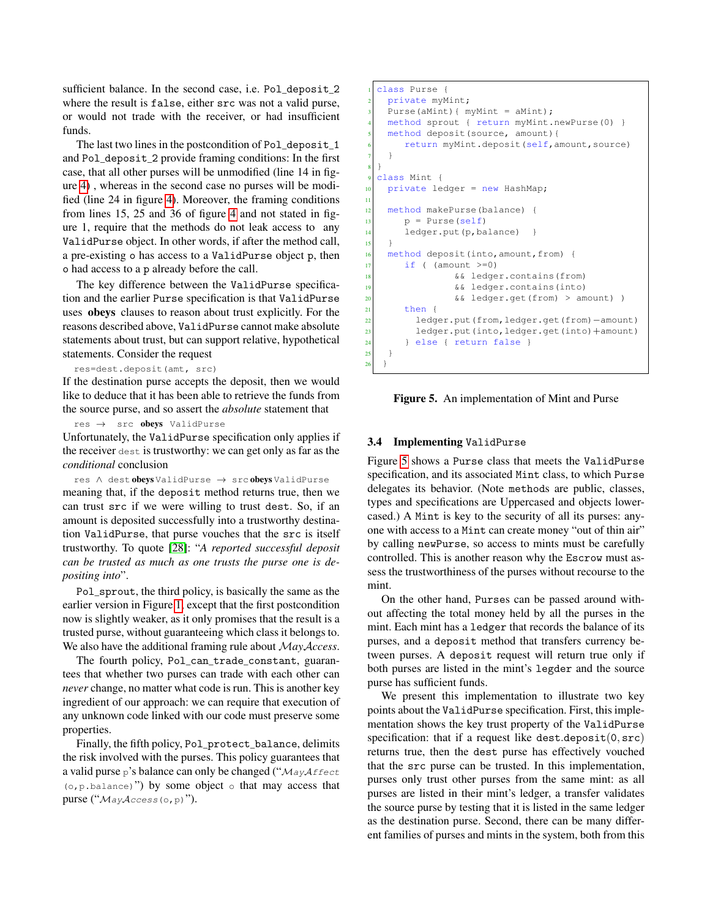sufficient balance. In the second case, i.e. Pol\_deposit\_2 where the result is false, either src was not a valid purse, or would not trade with the receiver, or had insufficient funds.

The last two lines in the postcondition of Pol deposit 1 and Pol\_deposit\_2 provide framing conditions: In the first case, that all other purses will be unmodified (line 14 in figure [4\)](#page-5-0) , whereas in the second case no purses will be modified (line 24 in figure [4\)](#page-5-0). Moreover, the framing conditions from lines 15, 25 and 36 of figure [4](#page-5-0) and not stated in figure 1, require that the methods do not leak access to any ValidPurse object. In other words, if after the method call, a pre-existing o has access to a ValidPurse object p, then o had access to a p already before the call.

The key difference between the ValidPurse specification and the earlier Purse specification is that ValidPurse uses obeys clauses to reason about trust explicitly. For the reasons described above, ValidPurse cannot make absolute statements about trust, but can support relative, hypothetical statements. Consider the request

res=dest.deposit(amt, src)

If the destination purse accepts the deposit, then we would like to deduce that it has been able to retrieve the funds from the source purse, and so assert the *absolute* statement that

 $res \rightarrow$  src obeys ValidPurse

Unfortunately, the ValidPurse specification only applies if the receiver dest is trustworthy: we can get only as far as the *conditional* conclusion

res ∧ dest obeys ValidPurse → src obeys ValidPurse meaning that, if the deposit method returns true, then we can trust src if we were willing to trust dest. So, if an amount is deposited successfully into a trustworthy destination ValidPurse, that purse vouches that the src is itself trustworthy. To quote [\[28\]](#page-13-4): "*A reported successful deposit can be trusted as much as one trusts the purse one is depositing into*".

Pol\_sprout, the third policy, is basically the same as the earlier version in Figure [1,](#page-2-0) except that the first postcondition now is slightly weaker, as it only promises that the result is a trusted purse, without guaranteeing which class it belongs to. We also have the additional framing rule about M*ay*A*ccess*.

The fourth policy, Pol\_can\_trade\_constant, guarantees that whether two purses can trade with each other can *never* change, no matter what code is run. This is another key ingredient of our approach: we can require that execution of any unknown code linked with our code must preserve some properties.

Finally, the fifth policy, Pol\_protect\_balance, delimits the risk involved with the purses. This policy guarantees that a valid purse p's balance can only be changed ("MayAffect  $(0, p.$ balance)") by some object  $\circ$  that may access that purse ("MayAccess(o,p)").

```
class Purse {
   private myMint;
   Purse(aMint){ myMint = aMint);
   4 method sprout { return myMint.newPurse(0) }
   5 method deposit(source, amount){
      6 return myMint.deposit(self,amount,source)
7 }
8 }
  class Mint {
10 private ledger = new HashMap;
11
12 method makePurse(balance) {
|p| = Purse(self)14 ledger.put(p, balance)
15 }
16 method deposit(into,amount,from) {
17 if ( (amount >=0)
18 6 & ledger.contains (from)
19 6& ledger.contains(into)
20 & ledger.get(from) > amount) )
21 then {
22 ledger.put(from,ledger.get(from)-amount)
23 ledger.put(into,ledger.get(into)+amount)
24 } else { return false }
25 }
   \}
```
<span id="page-6-0"></span>Figure 5. An implementation of Mint and Purse

#### 3.4 Implementing ValidPurse

Figure [5](#page-6-0) shows a Purse class that meets the ValidPurse specification, and its associated Mint class, to which Purse delegates its behavior. (Note methods are public, classes, types and specifications are Uppercased and objects lowercased.) A Mint is key to the security of all its purses: anyone with access to a Mint can create money "out of thin air" by calling newPurse, so access to mints must be carefully controlled. This is another reason why the Escrow must assess the trustworthiness of the purses without recourse to the mint.

On the other hand, Purses can be passed around without affecting the total money held by all the purses in the mint. Each mint has a ledger that records the balance of its purses, and a deposit method that transfers currency between purses. A deposit request will return true only if both purses are listed in the mint's legder and the source purse has sufficient funds.

We present this implementation to illustrate two key points about the ValidPurse specification. First, this implementation shows the key trust property of the ValidPurse specification: that if a request like dest.deposit $(0, src)$ returns true, then the dest purse has effectively vouched that the src purse can be trusted. In this implementation, purses only trust other purses from the same mint: as all purses are listed in their mint's ledger, a transfer validates the source purse by testing that it is listed in the same ledger as the destination purse. Second, there can be many different families of purses and mints in the system, both from this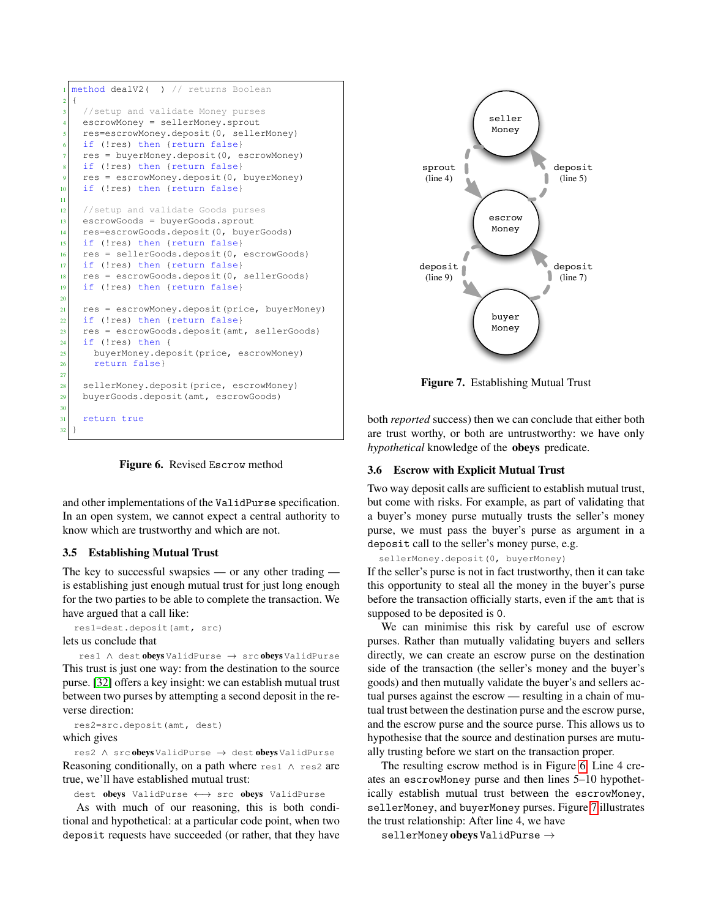```
method dealV2( ) // returns Boolean
2 {
3 //setup and validate Money purses
4 escrowMoney = sellerMoney.sprout
    5 res=escrowMoney.deposit(0, sellerMoney)
    if (!res) then {return false}
7 res = buyerMoney.deposit(0, escrowMoney)
8 if (!res) then {return false}
    9 res = escrowMoney.deposit(0, buyerMoney)
10 if (!res) then {return false}
11
12 //setup and validate Goods purses
|13| escrowGoods = buyerGoods.sprout
14 res=escrowGoods.deposit(0, buyerGoods)
15 if (!res) then {return false}
\begin{bmatrix} 16 \\ 16 \end{bmatrix} res = sellerGoods.deposit(0, escrowGoods)
17 if (!res) then {return false}
|18| res = escrowGoods.deposit(0, sellerGoods)
19 if (!res) then {return false}
\alpha|21| res = escrowMoney.deposit(price, buyerMoney)
22 if (!res) then {return false}
23 res = escrowGoods.deposit(amt, sellerGoods)
_{24} if (!res) then {
25 buyerMoney.deposit(price, escrowMoney)
26 return false}
27
28 sellerMoney.deposit(price, escrowMoney)
29 buyerGoods.deposit(amt, escrowGoods)
30
31 return true
32 }
```
<span id="page-7-0"></span>

and other implementations of the ValidPurse specification. In an open system, we cannot expect a central authority to know which are trustworthy and which are not.

#### 3.5 Establishing Mutual Trust

The key to successful swapsies — or any other trading is establishing just enough mutual trust for just long enough for the two parties to be able to complete the transaction. We have argued that a call like:

```
res1=dest.deposit(amt, src)
lets us conclude that
```
res1 ∧ dest obeys ValidPurse → src obeys ValidPurse This trust is just one way: from the destination to the source purse. [\[32\]](#page-13-3) offers a key insight: we can establish mutual trust between two purses by attempting a second deposit in the reverse direction:

res2=src.deposit(amt, dest) which gives

res2 ∧ src obeys ValidPurse → dest obeys ValidPurse Reasoning conditionally, on a path where  $res1 \wedge res2$  are true, we'll have established mutual trust:

dest obeys ValidPurse ←→ src obeys ValidPurse

As with much of our reasoning, this is both conditional and hypothetical: at a particular code point, when two deposit requests have succeeded (or rather, that they have



<span id="page-7-1"></span>Figure 7. Establishing Mutual Trust

both *reported* success) then we can conclude that either both are trust worthy, or both are untrustworthy: we have only *hypothetical* knowledge of the obeys predicate.

#### 3.6 Escrow with Explicit Mutual Trust

Two way deposit calls are sufficient to establish mutual trust, but come with risks. For example, as part of validating that a buyer's money purse mutually trusts the seller's money purse, we must pass the buyer's purse as argument in a deposit call to the seller's money purse, e.g.

```
sellerMoney.deposit(0, buyerMoney)
```
If the seller's purse is not in fact trustworthy, then it can take this opportunity to steal all the money in the buyer's purse before the transaction officially starts, even if the amt that is supposed to be deposited is 0.

We can minimise this risk by careful use of escrow purses. Rather than mutually validating buyers and sellers directly, we can create an escrow purse on the destination side of the transaction (the seller's money and the buyer's goods) and then mutually validate the buyer's and sellers actual purses against the escrow — resulting in a chain of mutual trust between the destination purse and the escrow purse, and the escrow purse and the source purse. This allows us to hypothesise that the source and destination purses are mutually trusting before we start on the transaction proper.

The resulting escrow method is in Figure [6.](#page-7-0) Line 4 creates an escrowMoney purse and then lines 5–10 hypothetically establish mutual trust between the escrowMoney, sellerMoney, and buyerMoney purses. Figure [7](#page-7-1) illustrates the trust relationship: After line 4, we have

sellerMoney obeys ValidPurse  $\rightarrow$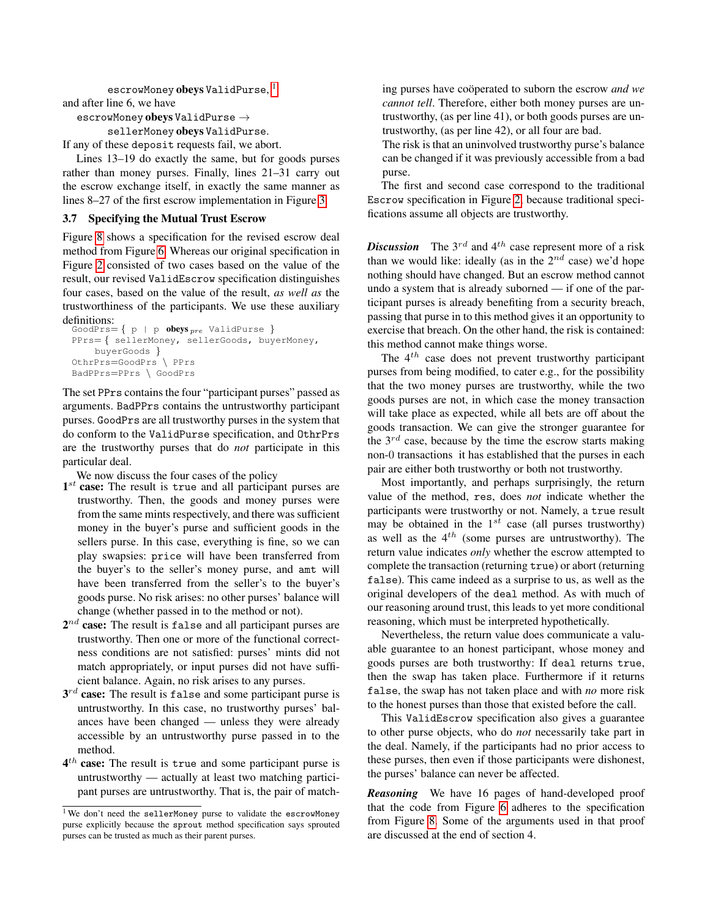escrowMoney  ${\bf obeys}$  ValidPurse,  $^1$  $^1$ and after line 6, we have escrowMoney obeys ValidPurse  $\rightarrow$ 

sellerMoney obeys ValidPurse.

If any of these deposit requests fail, we abort.

Lines 13–19 do exactly the same, but for goods purses rather than money purses. Finally, lines 21–31 carry out the escrow exchange itself, in exactly the same manner as lines 8–27 of the first escrow implementation in Figure [3.](#page-4-0)

# 3.7 Specifying the Mutual Trust Escrow

Figure [8](#page-9-0) shows a specification for the revised escrow deal method from Figure [6.](#page-7-0) Whereas our original specification in Figure [2](#page-3-0) consisted of two cases based on the value of the result, our revised ValidEscrow specification distinguishes four cases, based on the value of the result, *as well as* the trustworthiness of the participants. We use these auxiliary definitions:

```
GoodPrs = \{ p | p \text{ obeys}_{pre} \text{ValidPurse } \}PPrs= { sellerMoney, sellerGoods, buyerMoney,
     buyerGoods }
OthrPrs=GoodPrs \ PPrs
BadPPrs=PPrs \ GoodPrs
```
The set PPrs contains the four "participant purses" passed as arguments. BadPPrs contains the untrustworthy participant purses. GoodPrs are all trustworthy purses in the system that do conform to the ValidPurse specification, and OthrPrs are the trustworthy purses that do *not* participate in this particular deal.

We now discuss the four cases of the policy

- 1<sup>st</sup> case: The result is true and all participant purses are trustworthy. Then, the goods and money purses were from the same mints respectively, and there was sufficient money in the buyer's purse and sufficient goods in the sellers purse. In this case, everything is fine, so we can play swapsies: price will have been transferred from the buyer's to the seller's money purse, and amt will have been transferred from the seller's to the buyer's goods purse. No risk arises: no other purses' balance will change (whether passed in to the method or not).
- $2^{nd}$  case: The result is false and all participant purses are trustworthy. Then one or more of the functional correctness conditions are not satisfied: purses' mints did not match appropriately, or input purses did not have sufficient balance. Again, no risk arises to any purses.
- $3^{rd}$  case: The result is false and some participant purse is untrustworthy. In this case, no trustworthy purses' balances have been changed — unless they were already accessible by an untrustworthy purse passed in to the method.
- $4<sup>th</sup>$  case: The result is true and some participant purse is untrustworthy — actually at least two matching participant purses are untrustworthy. That is, the pair of match-

ing purses have coöperated to suborn the escrow *and we cannot tell*. Therefore, either both money purses are untrustworthy, (as per line 41), or both goods purses are untrustworthy, (as per line 42), or all four are bad.

The risk is that an uninvolved trustworthy purse's balance can be changed if it was previously accessible from a bad purse.

The first and second case correspond to the traditional Escrow specification in Figure [2,](#page-3-0) because traditional specifications assume all objects are trustworthy.

**Discussion** The  $3^{rd}$  and  $4^{th}$  case represent more of a risk than we would like: ideally (as in the  $2^{nd}$  case) we'd hope nothing should have changed. But an escrow method cannot undo a system that is already suborned — if one of the participant purses is already benefiting from a security breach, passing that purse in to this method gives it an opportunity to exercise that breach. On the other hand, the risk is contained: this method cannot make things worse.

The  $4<sup>th</sup>$  case does not prevent trustworthy participant purses from being modified, to cater e.g., for the possibility that the two money purses are trustworthy, while the two goods purses are not, in which case the money transaction will take place as expected, while all bets are off about the goods transaction. We can give the stronger guarantee for the  $3^{rd}$  case, because by the time the escrow starts making non-0 transactions it has established that the purses in each pair are either both trustworthy or both not trustworthy.

Most importantly, and perhaps surprisingly, the return value of the method, res, does *not* indicate whether the participants were trustworthy or not. Namely, a true result may be obtained in the  $1^{st}$  case (all purses trustworthy) as well as the  $4<sup>th</sup>$  (some purses are untrustworthy). The return value indicates *only* whether the escrow attempted to complete the transaction (returning true) or abort (returning false). This came indeed as a surprise to us, as well as the original developers of the deal method. As with much of our reasoning around trust, this leads to yet more conditional reasoning, which must be interpreted hypothetically.

Nevertheless, the return value does communicate a valuable guarantee to an honest participant, whose money and goods purses are both trustworthy: If deal returns true, then the swap has taken place. Furthermore if it returns false, the swap has not taken place and with *no* more risk to the honest purses than those that existed before the call.

This ValidEscrow specification also gives a guarantee to other purse objects, who do *not* necessarily take part in the deal. Namely, if the participants had no prior access to these purses, then even if those participants were dishonest, the purses' balance can never be affected.

*Reasoning* We have 16 pages of hand-developed proof that the code from Figure [6](#page-7-0) adheres to the specification from Figure [8.](#page-9-0) Some of the arguments used in that proof are discussed at the end of section 4.

<span id="page-8-0"></span><sup>&</sup>lt;sup>1</sup> We don't need the sellerMoney purse to validate the escrowMoney purse explicitly because the sprout method specification says sprouted purses can be trusted as much as their parent purses.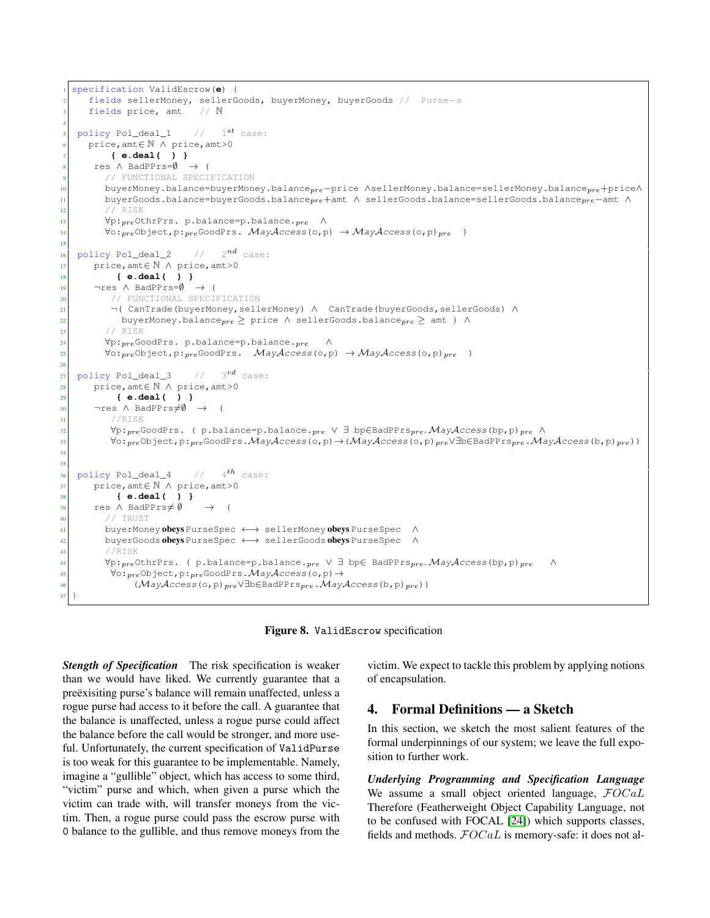```
specification ValidEscrow(e) {
     2 fields sellerMoney, sellerGoods, buyerMoney, buyerGoods // Purse−s
3 fields price, amt // \mathbb N4
\text{policy Pol\_deal\_1} // 1^{st} case:
     6 price,amt∈ N ∧ price,amt>0
7 { e.deal( ) }
|8| res \land BadPPrs=\emptyset \rightarrow (9 // FUNCTIONAL SPECIFICATION
10 buyerMoney.balance=buyerMoney.balance<sub>pre</sub>−price ∧sellerMoney.balance=sellerMoney.balance<sub>pre</sub>+price∧
11 buyerGoods.balance=buyerGoods.balancepre+amt ∧ sellerGoods.balance=sellerGoods.balancepre−amt ∧
12 // RISK
13 \forall p:_{pre}OthrPrs. p.balance=p.balance._{pre} ^
14 \forall o:_{pre}Object, p:_{pre}GoodPrs. MayAccess(o, p) \rightarrow MayAccess(o, p)<sub>pre</sub> )
15
16 policy Pol_deal_2 // 2^{nd} case:
17 price,amt∈ N ∧ price,amt>0
18 { e.deal( ) }
19 ¬res ∧ BadPPrs=∅ → (
20 // FUNCTIONAL SPECIFICATION
21 ¬( CanTrade(buyerMoney,sellerMoney) ∧ CanTrade(buyerGoods,sellerGoods) ∧
22 buyerMoney.balance<sub>pre</sub> ≥ price \land sellerGoods.balance<sub>pre</sub> ≥ amt ) \land23 // RISK
\forall p:_{pre}GoodPrs. p.balance=p.balance._{pre}25 \forall o:_{pre}Object, p:_{pre}GoodPrs. MayAccess(o, p) \rightarrow MayAccess(o, p)<sub>pre</sub> )
26
27 policy Pol_deal_3 // 3^{rd} case:
28 price, amt∈ N ∧ price, amt>0
29 { e.deal( ) }
30 \rightarrow \rightarrow (BadPPrs\neqØ \rightarrow (
31 //RISK
32 ∀p:preGoodPrs. ( p.balance=p.balance.pre ∨ ∃ bp∈BadPPrspre.MayAccess(bp,p)pre ∧
33 ∀o:preObject,p:preGoodPrs.MayAccess(o,p)→(MayAccess(o,p)pre∨∃b∈BadPPrspre.MayAccess(b,p)pre))
34
35
36 policy Pol_deal_4 // 4^{th} case:
37 price,amt∈ N ∧ price,amt>0
38 { e.deal( ) }
39 res \wedge BadPPrs\neq \emptyset \rightarrow (
40 // TRUST
41 buyerMoney obeys PurseSpec ←→ sellerMoney obeys PurseSpec ∧
42 buyerGoods obeys PurseSpec ←→ sellerGoods obeys PurseSpec ∧
43 //RISK
44 ∀p:preOthrPrs. ( p.balance=p.balance.pre ∨ ∃ bp∈ BadPPrspre.MayAccess(bp,p)pre ∧
45 \forallo:_{pre}Object,p:_{pre}GoodPrs.MayAccess(o,p) \rightarrow46 (MayAccess(o,p)_{pre} \vee \exists b \in BadPPS_{pre}.MayAccess(b,p)_{pre})47 }
```
<span id="page-9-0"></span>Figure 8. ValidEscrow specification

**Stength of Specification** The risk specification is weaker than we would have liked. We currently guarantee that a preëxisiting purse's balance will remain unaffected, unless a rogue purse had access to it before the call. A guarantee that the balance is unaffected, unless a rogue purse could affect the balance before the call would be stronger, and more useful. Unfortunately, the current specification of ValidPurse is too weak for this guarantee to be implementable. Namely, imagine a "gullible" object, which has access to some third, "victim" purse and which, when given a purse which the victim can trade with, will transfer moneys from the victim. Then, a rogue purse could pass the escrow purse with 0 balance to the gullible, and thus remove moneys from the

victim. We expect to tackle this problem by applying notions of encapsulation.

# 4. Formal Definitions — a Sketch

In this section, we sketch the most salient features of the formal underpinnings of our system; we leave the full exposition to further work.

*Underlying Programming and Specification Language* We assume a small object oriented language,  $FOCal$ Therefore (Featherweight Object Capability Language, not to be confused with FOCAL [\[24\]](#page-13-5)) which supports classes, fields and methods.  $FOCal$  is memory-safe: it does not al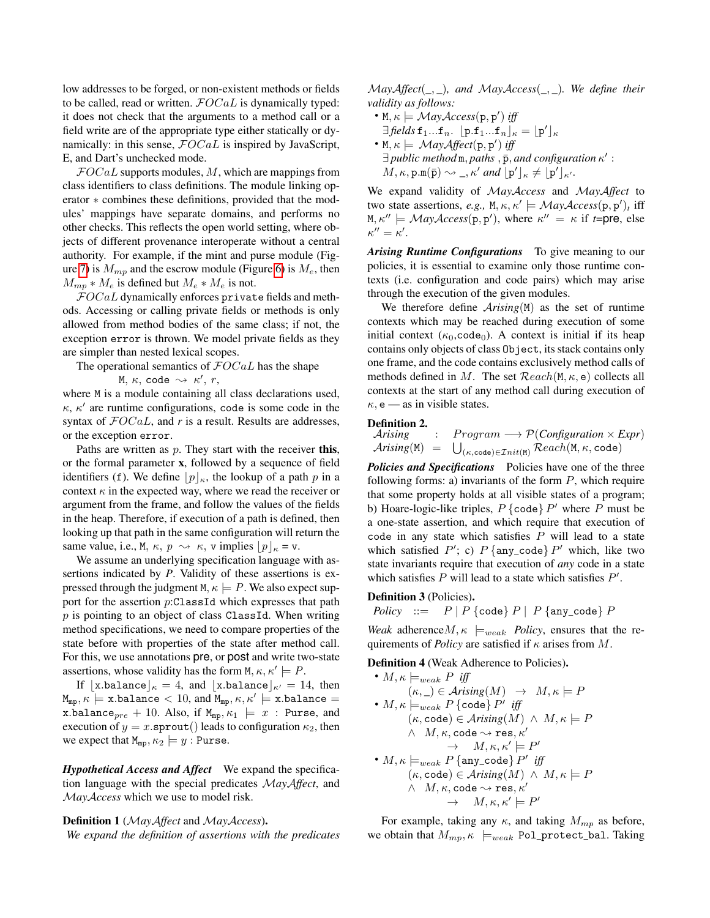low addresses to be forged, or non-existent methods or fields to be called, read or written.  $FOCaL$  is dynamically typed: it does not check that the arguments to a method call or a field write are of the appropriate type either statically or dynamically: in this sense,  $FOCaL$  is inspired by JavaScript, E, and Dart's unchecked mode.

 $FOCaL$  supports modules, M, which are mappings from class identifiers to class definitions. The module linking operator  $*$  combines these definitions, provided that the modules' mappings have separate domains, and performs no other checks. This reflects the open world setting, where objects of different provenance interoperate without a central authority. For example, if the mint and purse module (Fig-ure [7\)](#page-7-1) is  $M_{mp}$  and the escrow module (Figure [6\)](#page-7-0) is  $M_e$ , then  $M_{mp} * M_e$  is defined but  $M_e * M_e$  is not.

 $FOCaL$  dynamically enforces private fields and methods. Accessing or calling private fields or methods is only allowed from method bodies of the same class; if not, the exception error is thrown. We model private fields as they are simpler than nested lexical scopes.

The operational semantics of  $\mathcal{F}OCaL$  has the shape

M,  $\kappa$ , code  $\rightsquigarrow$   $\kappa', r$ ,

where M is a module containing all class declarations used,  $\kappa$ ,  $\kappa'$  are runtime configurations, code is some code in the syntax of  $FOCal$ , and *r* is a result. Results are addresses, or the exception error.

Paths are written as  $p$ . They start with the receiver this, or the formal parameter x, followed by a sequence of field identifiers (f). We define  $|p|_{\kappa}$ , the lookup of a path p in a context  $\kappa$  in the expected way, where we read the receiver or argument from the frame, and follow the values of the fields in the heap. Therefore, if execution of a path is defined, then looking up that path in the same configuration will return the same value, i.e., M,  $\kappa$ ,  $p \rightarrow \kappa$ , v implies  $|p|_{\kappa} = v$ .

We assume an underlying specification language with assertions indicated by *P*. Validity of these assertions is expressed through the judgment M,  $\kappa \models P$ . We also expect support for the assertion p:ClassId which expresses that path  $p$  is pointing to an object of class ClassId. When writing method specifications, we need to compare properties of the state before with properties of the state after method call. For this, we use annotations pre, or post and write two-state assertions, whose validity has the form  $M, \kappa, \kappa' \models P$ .

If  $\lfloor x.\mathtt{balance} \rfloor_\kappa = 4$ , and  $\lfloor x.\mathtt{balance} \rfloor_{\kappa'} = 14$ , then  $\texttt{M}_{\texttt{mp}}, \kappa \models \texttt{x.balance} < 10, \text{ and } \texttt{M}_{\texttt{mp}}, \kappa, \kappa' \models \texttt{x.balance} = 0$ x.balance<sub>pre</sub> + 10. Also, if  $M_{mp}$ ,  $\kappa_1$   $\models$  x : Purse, and execution of  $y = x$ .sprout() leads to configuration  $\kappa_2$ , then we expect that  $M_{mp}$ ,  $\kappa_2 \models y$ : Purse.

*Hypothetical Access and Affect* We expand the specification language with the special predicates M*ay*A*ffect*, and M*ay*A*ccess* which we use to model risk.

#### <span id="page-10-0"></span>Definition 1 (M*ay*A*ffect* and M*ay*A*ccess*).

*We expand the definition of assertions with the predicates*

M*ay*A*ffect*(*\_*, *\_*)*, and* M*ay*A*ccess*(*\_*, *\_*)*. We define their validity as follows:*

 $\bullet$  **M**,  $\kappa \models \text{MayAccess}(p, p')$  *iff*  $\exists \text{fields } f_1...f_n. \ \lfloor p.f_1...f_n \rfloor_{\kappa} = \lfloor p' \rfloor_{\kappa}$  $\bullet$  **M**,  $\kappa \models \text{MayAfter}(p, p')$  *iff*  $\exists$  *public method* m, *paths* ,  $\bar{p}$ , *and configuration*  $\kappa'$ :  $M, \kappa, \mathbf{p}.\mathfrak{m}(\bar{\mathbf{p}}) \sim_{\_} \kappa'$  *and*  $\lfloor \mathbf{p}' \rfloor_{\kappa} \neq \lfloor \mathbf{p}' \rfloor_{\kappa'}.$ 

We expand validity of M*ay*A*ccess* and M*ay*A*ffect* to two state assertions, *e.g.*,  $M, \kappa, \kappa' \models \text{MayAccess}(p, p')$ <sub>t</sub> iff  $M, \kappa'' \models \text{MayAccess}(p, p'),$  where  $\kappa'' = \kappa$  if *t*=pre, else  $\kappa'' = \kappa'.$ 

*Arising Runtime Configurations* To give meaning to our policies, it is essential to examine only those runtime contexts (i.e. configuration and code pairs) which may arise through the execution of the given modules.

We therefore define A*rising*(M) as the set of runtime contexts which may be reached during execution of some initial context ( $\kappa_0$ , code<sub>0</sub>). A context is initial if its heap contains only objects of class Object, its stack contains only one frame, and the code contains exclusively method calls of methods defined in M. The set  $Reach(M, \kappa, e)$  collects all contexts at the start of any method call during execution of  $\kappa$ , e — as in visible states.

#### Definition 2.

 $A$ *rising* :  $Program \rightarrow \mathcal{P}(Configuration \times expr)$  $\mathcal{A} \mathit{rising}(\texttt{M}) \;\; = \;\; \bigcup_{(\kappa, \texttt{code}) \in \mathcal{I} \mathit{nit}(\texttt{M})} \mathcal{R} \mathit{each}(\texttt{M}, \kappa, \texttt{code})$ 

*Policies and Specifications* Policies have one of the three following forms: a) invariants of the form  $P$ , which require that some property holds at all visible states of a program; b) Hoare-logic-like triples,  $P$  {code}  $P'$  where  $P$  must be a one-state assertion, and which require that execution of code in any state which satisfies  $P$  will lead to a state which satisfied  $P'$ ; c)  $P$  {any\_code}  $P'$  which, like two state invariants require that execution of *any* code in a state which satisfies  $P$  will lead to a state which satisfies  $P'$ .

#### Definition 3 (Policies).

*Policy* ::=  $P | P \{\text{code} \} P | P \{\text{any\_code} \} P$ 

*Weak* adherence *M*,  $\kappa \models_{weak}$  *Policy*, ensures that the requirements of *Policy* are satisfied if  $\kappa$  arises from M.

Definition 4 (Weak Adherence to Policies).

\n- • 
$$
M, \kappa \models_{weak} P
$$
 iff\n 
$$
(\kappa, \_) \in \mathcal{A} \text{rising}(M) \rightarrow M, \kappa \models P
$$
\n- •  $M, \kappa \models_{weak} P$  {code}  $P'$  iff\n 
$$
(\kappa, \text{code}) \in \mathcal{A} \text{rising}(M) \land M, \kappa \models P
$$
\n
$$
\land M, \kappa, \text{code} \rightsquigarrow \text{res}, \kappa'
$$
\n
$$
\rightarrow M, \kappa, \kappa' \models P'
$$
\n
\n- •  $M, \kappa \models_{weak} P$  {any\\_code}  $P'$  iff\n 
$$
(\kappa, \text{code}) \in \mathcal{A} \text{rising}(M) \land M, \kappa \models P
$$
\n
$$
\land M, \kappa, \text{code} \rightsquigarrow \text{res}, \kappa'
$$
\n
$$
\rightarrow M, \kappa, \kappa' \models P'
$$
\n
\n

For example, taking any  $\kappa$ , and taking  $M_{mp}$  as before, we obtain that  $M_{mp}$ ,  $\kappa \models_{weak}$  Pol\_protect\_bal. Taking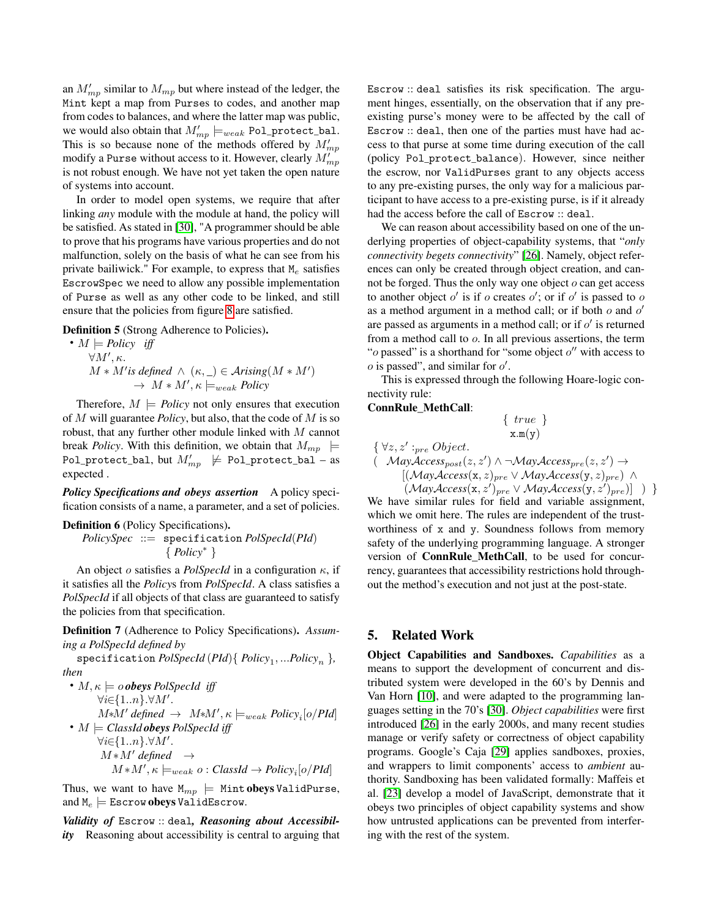an  $M'_{mp}$  similar to  $M_{mp}$  but where instead of the ledger, the Mint kept a map from Purses to codes, and another map from codes to balances, and where the latter map was public, we would also obtain that  $M_{mp}^\prime \models_{weak}$  Pol\_protect\_bal. This is so because none of the methods offered by  $M'_{mp}$ modify a Purse without access to it. However, clearly  $M'_{mp}$ is not robust enough. We have not yet taken the open nature of systems into account.

In order to model open systems, we require that after linking *any* module with the module at hand, the policy will be satisfied. As stated in [\[30\]](#page-13-6), "A programmer should be able to prove that his programs have various properties and do not malfunction, solely on the basis of what he can see from his private bailiwick." For example, to express that  $M_e$  satisfies EscrowSpec we need to allow any possible implementation of Purse as well as any other code to be linked, and still ensure that the policies from figure [8](#page-9-0) are satisfied.

Definition 5 (Strong Adherence to Policies).

• 
$$
M \models Policy
$$
 iff  
\n $\forall M', \kappa$ .  
\n $M * M'$  is defined  $\wedge (\kappa, \_) \in Arising(M * M')$   
\n $\rightarrow M * M', \kappa \models_{weak} Policy$ 

Therefore,  $M \models Policy$  not only ensures that execution of M will guarantee *Policy*, but also, that the code of M is so robust, that any further other module linked with M cannot break *Policy*. With this definition, we obtain that  $M_{mp}$   $\models$  $\texttt{Pol\_protect\_bal},$  but  $M_{mp}'\ \not\models\ \texttt{Pol\_protect\_bal}-\text{as}$ expected .

*Policy Specifications and obeys assertion* A policy specification consists of a name, a parameter, and a set of policies.

#### <span id="page-11-0"></span>Definition 6 (Policy Specifications).

*PolicySpec* ::= specification *PolSpecId*(*PId*) { *Policy*<sup>∗</sup> }

An object *o* satisfies a *PolSpecId* in a configuration  $\kappa$ , if it satisfies all the *Policy*s from *PolSpecId*. A class satisfies a *PolSpecId* if all objects of that class are guaranteed to satisfy the policies from that specification.

Definition 7 (Adherence to Policy Specifications). *Assuming a PolSpecId defined by*

 ${\tt specification}\ {\it Polyed}\ {\it{(PId)}} \{\ {\it Policy}_1, ... {\it Policy}_n\ \},$ *then*

\n- $$
M, \kappa \models \text{o obeys PolSpecId} \text{ iff}
$$
\n $\forall i \in \{1..n\}.\forall M'.$ \n $M \ast M' \text{ defined } \rightarrow M \ast M', \kappa \models_{weak} \text{Policy}_i[\text{o}/\text{PId}]$ \n
\n- $M \models \text{ClassId obeys PolSpecId} \text{ iff}$ \n $\forall i \in \{1..n\}.\forall M'.$ \n $M \ast M' \text{ defined } \rightarrow$ \n $M \ast M', \kappa \models_{weak} \text{o}: \text{ClassId} \rightarrow \text{Policy}_i[\text{o}/\text{PId}]$ \n
\n

Thus, we want to have  $M_{mp}$   $\models$  Mint obeys ValidPurse, and  $M_e$  = Escrow obeys ValidEscrow.

*Validity of* Escrow :: deal*, Reasoning about Accessibility* Reasoning about accessibility is central to arguing that Escrow :: deal satisfies its risk specification. The argument hinges, essentially, on the observation that if any preexisting purse's money were to be affected by the call of Escrow :: deal, then one of the parties must have had access to that purse at some time during execution of the call (policy Pol\_protect\_balance). However, since neither the escrow, nor ValidPurses grant to any objects access to any pre-existing purses, the only way for a malicious participant to have access to a pre-existing purse, is if it already had the access before the call of Escrow :: deal.

We can reason about accessibility based on one of the underlying properties of object-capability systems, that "*only connectivity begets connectivity*" [\[26\]](#page-13-7). Namely, object references can only be created through object creation, and cannot be forged. Thus the only way one object  $\sigma$  can get access to another object  $o'$  is if  $o$  creates  $o'$ ; or if  $o'$  is passed to  $o$ as a method argument in a method call; or if both  $o$  and  $o'$ are passed as arguments in a method call; or if  $o'$  is returned from a method call to o. In all previous assertions, the term " $o$  passed" is a shorthand for "some object  $o''$  with access to  $o$  is passed", and similar for  $o'$ .

This is expressed through the following Hoare-logic connectivity rule:

#### ConnRule\_MethCall:

 $\{ \; true \; \}$  $x.m(y)$  $\{\forall z, z' :_{pre} Object.\}$  $(\mathcal{M}ay\mathcal{A}ccess_{post}(z, z') \wedge \neg \mathcal{M}ay\mathcal{A}ccess_{pre}(z, z') \rightarrow$  $[(MayAccess(x, z)<sub>pre</sub> ∨ MayAccess(y, z)<sub>pre</sub>) ∧$ 

 $(\text{MayAccess}(x, z')_{pre} \lor \text{MayAccess}(y, z')_{pre})$  ) } We have similar rules for field and variable assignment, which we omit here. The rules are independent of the trustworthiness of x and y. Soundness follows from memory safety of the underlying programming language. A stronger version of ConnRule\_MethCall, to be used for concurrency, guarantees that accessibility restrictions hold through-

out the method's execution and not just at the post-state.

# 5. Related Work

Object Capabilities and Sandboxes. *Capabilities* as a means to support the development of concurrent and distributed system were developed in the 60's by Dennis and Van Horn [\[10\]](#page-13-8), and were adapted to the programming languages setting in the 70's [\[30\]](#page-13-6). *Object capabilities* were first introduced [\[26\]](#page-13-7) in the early 2000s, and many recent studies manage or verify safety or correctness of object capability programs. Google's Caja [\[29\]](#page-13-9) applies sandboxes, proxies, and wrappers to limit components' access to *ambient* authority. Sandboxing has been validated formally: Maffeis et al. [\[23\]](#page-13-10) develop a model of JavaScript, demonstrate that it obeys two principles of object capability systems and show how untrusted applications can be prevented from interfering with the rest of the system.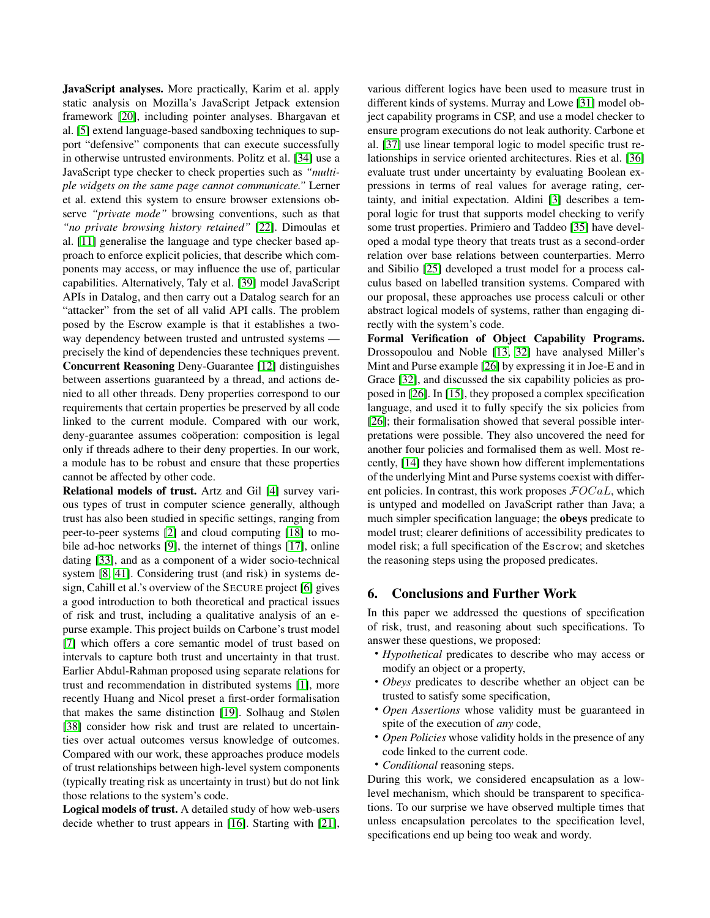JavaScript analyses. More practically, Karim et al. apply static analysis on Mozilla's JavaScript Jetpack extension framework [\[20\]](#page-13-11), including pointer analyses. Bhargavan et al. [\[5\]](#page-13-12) extend language-based sandboxing techniques to support "defensive" components that can execute successfully in otherwise untrusted environments. Politz et al. [\[34\]](#page-13-13) use a JavaScript type checker to check properties such as *"multiple widgets on the same page cannot communicate."* Lerner et al. extend this system to ensure browser extensions observe *"private mode"* browsing conventions, such as that *"no private browsing history retained"* [\[22\]](#page-13-14). Dimoulas et al. [\[11\]](#page-13-15) generalise the language and type checker based approach to enforce explicit policies, that describe which components may access, or may influence the use of, particular capabilities. Alternatively, Taly et al. [\[39\]](#page-13-16) model JavaScript APIs in Datalog, and then carry out a Datalog search for an "attacker" from the set of all valid API calls. The problem posed by the Escrow example is that it establishes a twoway dependency between trusted and untrusted systems precisely the kind of dependencies these techniques prevent. Concurrent Reasoning Deny-Guarantee [\[12\]](#page-13-17) distinguishes between assertions guaranteed by a thread, and actions denied to all other threads. Deny properties correspond to our requirements that certain properties be preserved by all code linked to the current module. Compared with our work, deny-guarantee assumes coöperation: composition is legal only if threads adhere to their deny properties. In our work, a module has to be robust and ensure that these properties cannot be affected by other code.

Relational models of trust. Artz and Gil [\[4\]](#page-13-18) survey various types of trust in computer science generally, although trust has also been studied in specific settings, ranging from peer-to-peer systems [\[2\]](#page-13-19) and cloud computing [\[18\]](#page-13-20) to mobile ad-hoc networks [\[9\]](#page-13-21), the internet of things [\[17\]](#page-13-22), online dating [\[33\]](#page-13-23), and as a component of a wider socio-technical system [\[8,](#page-13-24) [41\]](#page-13-25). Considering trust (and risk) in systems design, Cahill et al.'s overview of the SECURE project [\[6\]](#page-13-26) gives a good introduction to both theoretical and practical issues of risk and trust, including a qualitative analysis of an epurse example. This project builds on Carbone's trust model [\[7\]](#page-13-27) which offers a core semantic model of trust based on intervals to capture both trust and uncertainty in that trust. Earlier Abdul-Rahman proposed using separate relations for trust and recommendation in distributed systems [\[1\]](#page-13-28), more recently Huang and Nicol preset a first-order formalisation that makes the same distinction [\[19\]](#page-13-29). Solhaug and Stølen [\[38\]](#page-13-30) consider how risk and trust are related to uncertainties over actual outcomes versus knowledge of outcomes. Compared with our work, these approaches produce models of trust relationships between high-level system components (typically treating risk as uncertainty in trust) but do not link those relations to the system's code.

Logical models of trust. A detailed study of how web-users decide whether to trust appears in [\[16\]](#page-13-31). Starting with [\[21\]](#page-13-2),

various different logics have been used to measure trust in different kinds of systems. Murray and Lowe [\[31\]](#page-13-32) model object capability programs in CSP, and use a model checker to ensure program executions do not leak authority. Carbone et al. [\[37\]](#page-13-33) use linear temporal logic to model specific trust relationships in service oriented architectures. Ries et al. [\[36\]](#page-13-34) evaluate trust under uncertainty by evaluating Boolean expressions in terms of real values for average rating, certainty, and initial expectation. Aldini [\[3\]](#page-13-35) describes a temporal logic for trust that supports model checking to verify some trust properties. Primiero and Taddeo [\[35\]](#page-13-36) have developed a modal type theory that treats trust as a second-order relation over base relations between counterparties. Merro and Sibilio [\[25\]](#page-13-37) developed a trust model for a process calculus based on labelled transition systems. Compared with our proposal, these approaches use process calculi or other abstract logical models of systems, rather than engaging directly with the system's code.

Formal Verification of Object Capability Programs. Drossopoulou and Noble [\[13,](#page-13-38) [32\]](#page-13-3) have analysed Miller's Mint and Purse example [\[26\]](#page-13-7) by expressing it in Joe-E and in Grace [\[32\]](#page-13-3), and discussed the six capability policies as proposed in [\[26\]](#page-13-7). In [\[15\]](#page-13-39), they proposed a complex specification language, and used it to fully specify the six policies from [\[26\]](#page-13-7); their formalisation showed that several possible interpretations were possible. They also uncovered the need for another four policies and formalised them as well. Most recently, [\[14\]](#page-13-40) they have shown how different implementations of the underlying Mint and Purse systems coexist with different policies. In contrast, this work proposes  $\mathcal{F}OCaL$ , which is untyped and modelled on JavaScript rather than Java; a much simpler specification language; the obeys predicate to model trust; clearer definitions of accessibility predicates to model risk; a full specification of the Escrow; and sketches the reasoning steps using the proposed predicates.

# 6. Conclusions and Further Work

In this paper we addressed the questions of specification of risk, trust, and reasoning about such specifications. To answer these questions, we proposed:

- *Hypothetical* predicates to describe who may access or modify an object or a property,
- *Obeys* predicates to describe whether an object can be trusted to satisfy some specification,
- *Open Assertions* whose validity must be guaranteed in spite of the execution of *any* code,
- *Open Policies* whose validity holds in the presence of any code linked to the current code.
- *Conditional* reasoning steps.

During this work, we considered encapsulation as a lowlevel mechanism, which should be transparent to specifications. To our surprise we have observed multiple times that unless encapsulation percolates to the specification level, specifications end up being too weak and wordy.